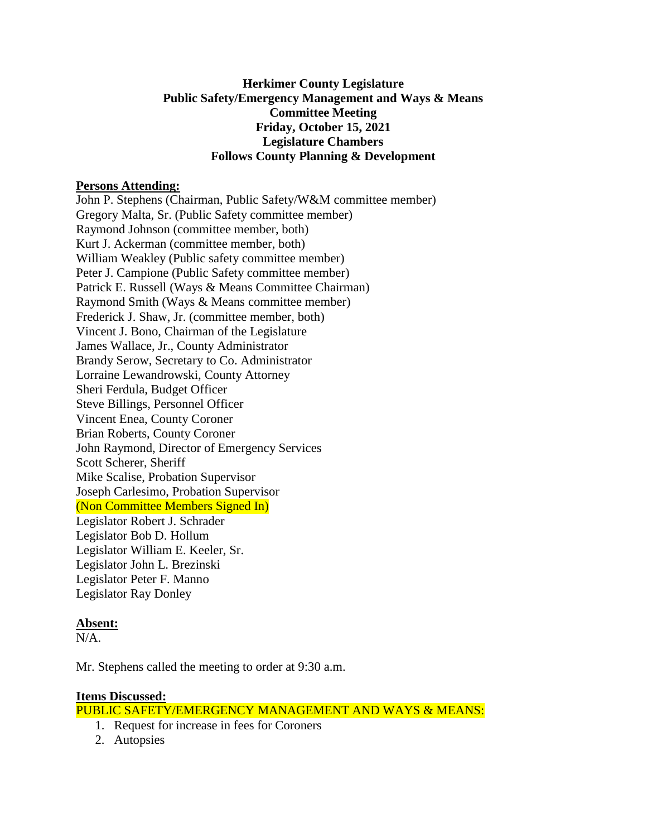# **Herkimer County Legislature Public Safety/Emergency Management and Ways & Means Committee Meeting Friday, October 15, 2021 Legislature Chambers Follows County Planning & Development**

#### **Persons Attending:**

John P. Stephens (Chairman, Public Safety/W&M committee member) Gregory Malta, Sr. (Public Safety committee member) Raymond Johnson (committee member, both) Kurt J. Ackerman (committee member, both) William Weakley (Public safety committee member) Peter J. Campione (Public Safety committee member) Patrick E. Russell (Ways & Means Committee Chairman) Raymond Smith (Ways & Means committee member) Frederick J. Shaw, Jr. (committee member, both) Vincent J. Bono, Chairman of the Legislature James Wallace, Jr., County Administrator Brandy Serow, Secretary to Co. Administrator Lorraine Lewandrowski, County Attorney Sheri Ferdula, Budget Officer Steve Billings, Personnel Officer Vincent Enea, County Coroner Brian Roberts, County Coroner John Raymond, Director of Emergency Services Scott Scherer, Sheriff Mike Scalise, Probation Supervisor Joseph Carlesimo, Probation Supervisor (Non Committee Members Signed In) Legislator Robert J. Schrader Legislator Bob D. Hollum Legislator William E. Keeler, Sr. Legislator John L. Brezinski Legislator Peter F. Manno Legislator Ray Donley

### **Absent:**

N/A.

Mr. Stephens called the meeting to order at 9:30 a.m.

### **Items Discussed:**

PUBLIC SAFETY/EMERGENCY MANAGEMENT AND WAYS & MEANS:

- 1. Request for increase in fees for Coroners
- 2. Autopsies